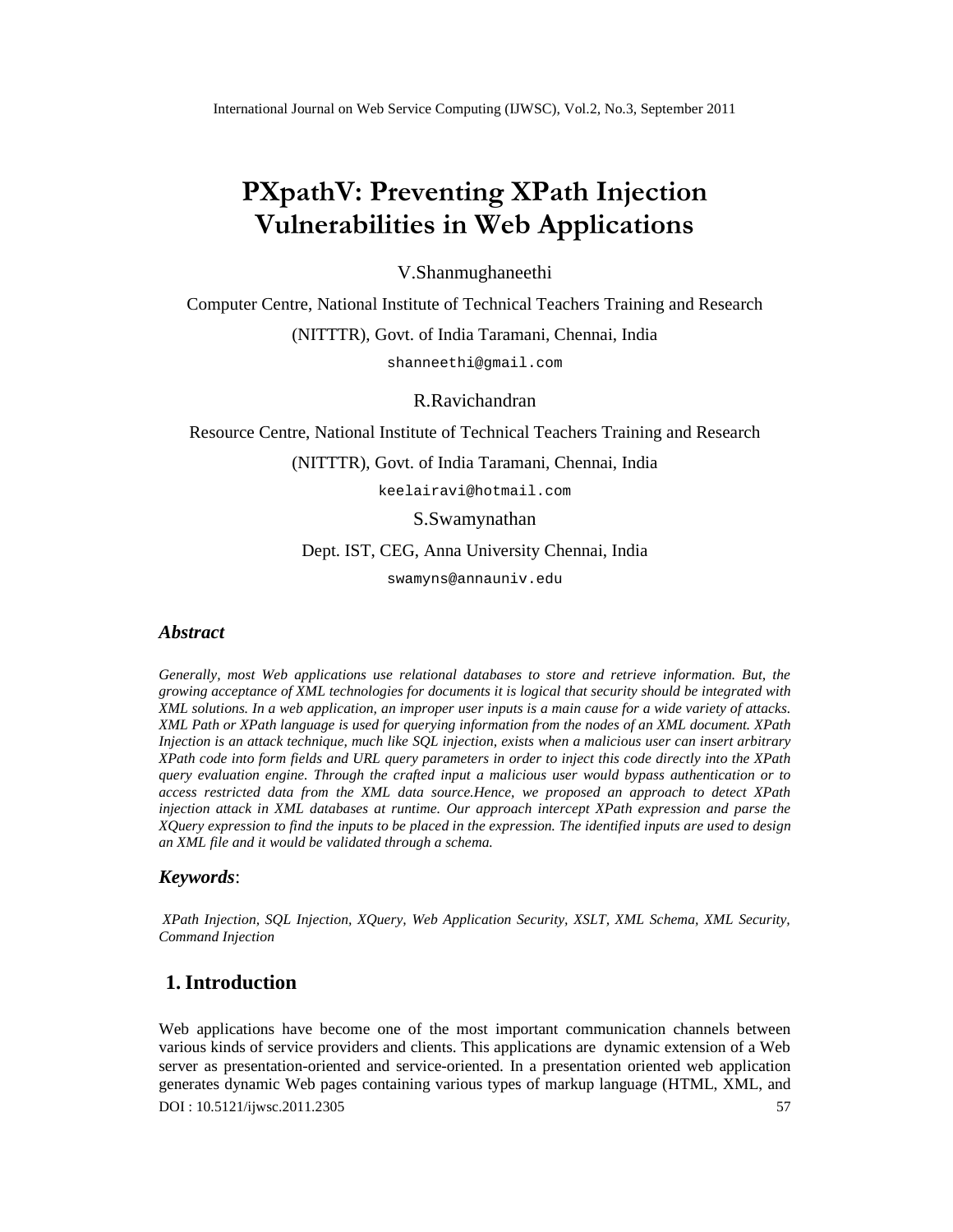# PXpathV: Preventing XPath Injer Vulnerabilities in Web Applicati

V.Shanmughaneethi

Computer Centre, National Institute of Technical Teachers Training and Research

(NITTTR), Govt. of India Taramani, Chennai, India

[shanneethi@gmail.com](mailto:shanneethi@gmail.com)

R.Ravichandran

Resource Centre, National Institute of Technical Teachers Training and Research

(NITTTR), Govt. of IndiaTaramani, Chennai, India

[keelairavi@hotmail.com](mailto:keelairavi@hotmail.com)

## S.Swamynathan

Dept. IST, CEG, Anna University Chennai, India

[swamyns@annauniv.edu](mailto:swamyns@annauniv.edu)

## **Abstract**

Generally, most Web applications use relational databases to store and retrieve information. But, the growing acceptance of XML technologies for documents it is logical that security should be integrated with XML solutions. In a web application, improper user inputs is a main cause for a wide variety of attacks. XML Path or XPath language is used for querying information from the nodes of an XML document. XPath Injection is an attack technique, much like SQL injection, exists when a malisieus an insert arbitrary XPath code into form fields and URL query parameters in order to inject this code directly into the XPath query evaluation engine. Through the crafted input a malicious user would bypass authentication or to access restricted data fom the XML data source. Hence, we proposed an approach to detect XPath injection attack in XML databases at runtime. Our approach intercept XPath expression and parse the XQuery expression to find the inputs to be placed in the expression. The identities the used to design an XML file and it would be validated through a schema.

## Keywords:

XPath Injection, SQL Injection, XQuery, Web Application Security, XSLT, XML Schema, XML Security, Command Injection

## 1.Introduction

DOI : 10.5121/ijwsc.2011.2305 57 Web applications have become one of the most important communication channels between various kinds of service providers and clients. This applications are dynamic extension of a Web server as resentation-oriented and serviceriented. In a presentation riented web application generates dynamic Web pages containing various types of markup lan**guage** (XML, and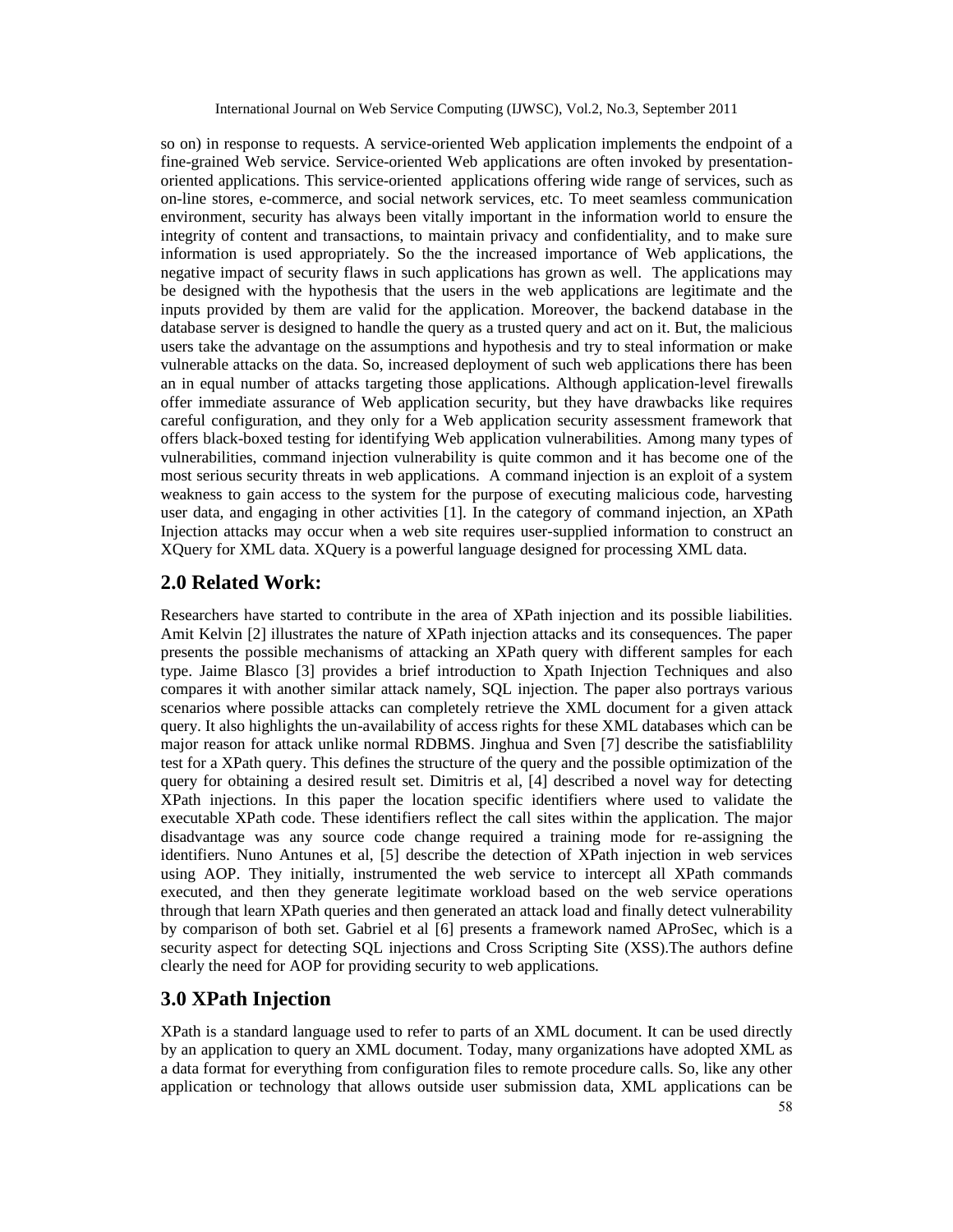so on) in response to requests. A service-oriented Web application implements the endpoint of a fine-grained Web service. Service-oriented Web applications are often invoked by presentationoriented applications. This service-oriented applications offering wide range of services, such as on-line stores, e-commerce, and social network services, etc. To meet seamless communication environment, security has always been vitally important in the information world to ensure the integrity of content and transactions, to maintain privacy and confidentiality, and to make sure information is used appropriately. So the the increased importance of Web applications, the negative impact of security flaws in such applications has grown as well. The applications may be designed with the hypothesis that the users in the web applications are legitimate and the inputs provided by them are valid for the application. Moreover, the backend database in the database server is designed to handle the query as a trusted query and act on it. But, the malicious users take the advantage on the assumptions and hypothesis and try to steal information or make vulnerable attacks on the data. So, increased deployment of such web applications there has been an in equal number of attacks targeting those applications. Although application-level firewalls offer immediate assurance of Web application security, but they have drawbacks like requires careful configuration, and they only for a Web application security assessment framework that offers black-boxed testing for identifying Web application vulnerabilities. Among many types of vulnerabilities, command injection vulnerability is quite common and it has become one of the most serious security threats in web applications. A command injection is an exploit of a system weakness to gain access to the system for the purpose of executing malicious code, harvesting user data, and engaging in other activities [1]. In the category of command injection, an XPath Injection attacks may occur when a web site requires user-supplied information to construct an XQuery for XML data. XQuery is a powerful language designed for processing XML data.

## **2.0 Related Work:**

Researchers have started to contribute in the area of XPath injection and its possible liabilities. Amit Kelvin [2] illustrates the nature of XPath injection attacks and its consequences. The paper presents the possible mechanisms of attacking an XPath query with different samples for each type. Jaime Blasco [3] provides a brief introduction to Xpath Injection Techniques and also compares it with another similar attack namely, SQL injection. The paper also portrays various scenarios where possible attacks can completely retrieve the XML document for a given attack query. It also highlights the un-availability of access rights for these XML databases which can be major reason for attack unlike normal RDBMS. Jinghua and Sven [7] describe the satisfiablility test for a XPath query. This defines the structure of the query and the possible optimization of the query for obtaining a desired result set. Dimitris et al, [4] described a novel way for detecting XPath injections. In this paper the location specific identifiers where used to validate the executable XPath code. These identifiers reflect the call sites within the application. The major disadvantage was any source code change required a training mode for re-assigning the identifiers. Nuno Antunes et al, [5] describe the detection of XPath injection in web services using AOP. They initially, instrumented the web service to intercept all XPath commands executed, and then they generate legitimate workload based on the web service operations through that learn XPath queries and then generated an attack load and finally detect vulnerability by comparison of both set. Gabriel et al [6] presents a framework named AProSec, which is a security aspect for detecting SQL injections and Cross Scripting Site (XSS).The authors define clearly the need for AOP for providing security to web applications.

## **3.0 XPath Injection**

XPath is a standard language used to refer to parts of an XML document. It can be used directly by an application to query an XML document. Today, many organizations have adopted XML as a data format for everything from configuration files to remote procedure calls. So, like any other application or technology that allows outside user submission data, XML applications can be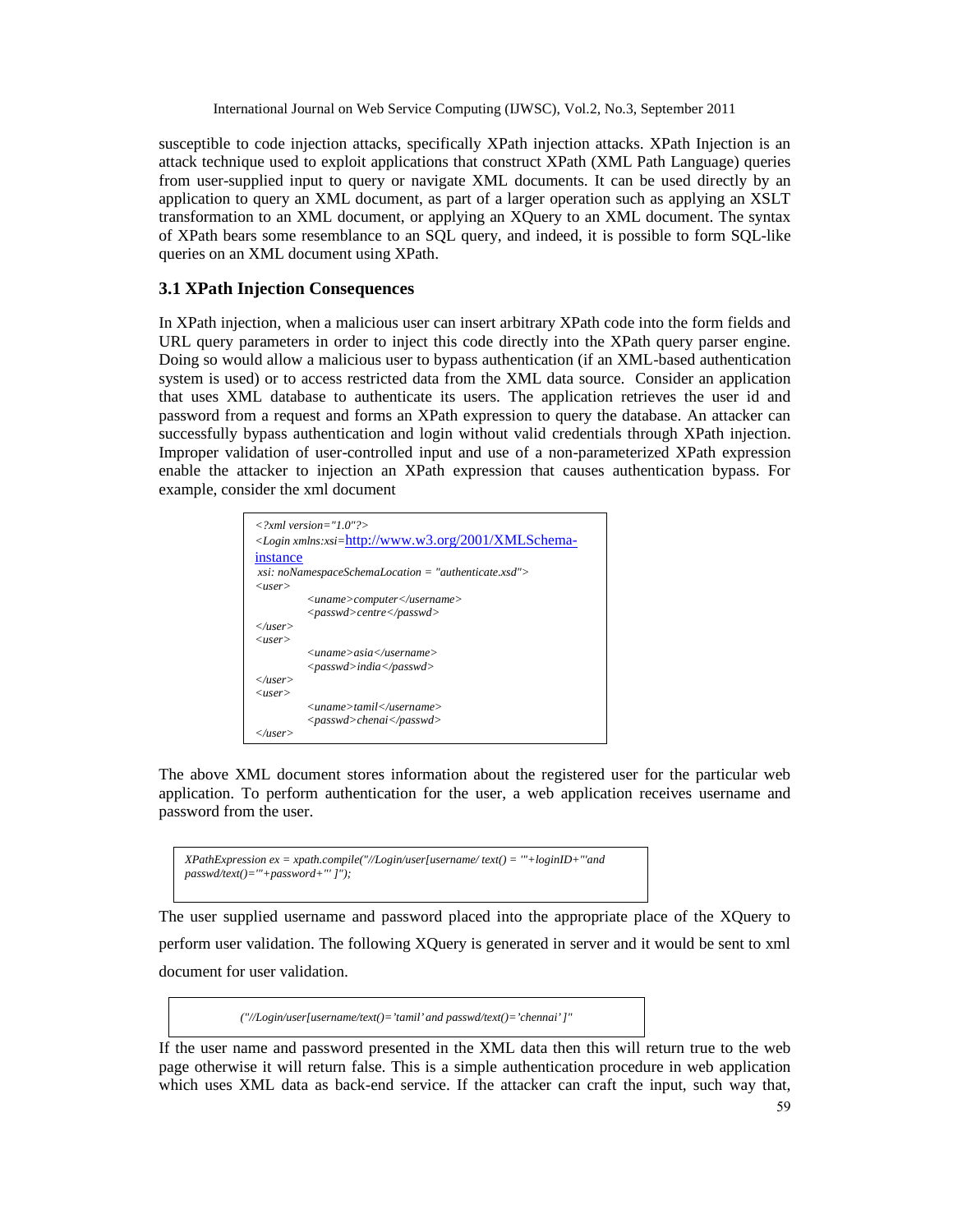susceptible to orde injection attacks, specifically XPath injection attacks. XPath Injection is an attack technique used to exploit applications that construct XPath (XML Path Language) queries from usersupplied input to query or navigate XML documents. It can be used the input application to query an XML document, as part of a larger operation such as applying an XSLT transformation to an XML document, or applying an XQuery to an XML document. The syntax of XPath bears some resemblance to an SQL query, and indeep pasible to form SQ like queries on an XML document using XPath.

#### 3.1XPath Injection Consequences

In XPath injection, when a malicious user can insert arbitrary XPath code into the form fields and URL query parameters in order to inject this codifectly into the XPath query parser engine. Doing so would allow a malicious user to bypass authentication (if an-Mased authentication system is used) or to access restricted data from the XML data source. Consider an application that uses XML datals a to authenticate its users. The application retrieves the user id and password from a request and forms an XPath expression to query the database. An attacker can successfully bypass authentication and login without valid credentials through XPatromnject Improper validation of user ontrolled input and use of a nonarameterized XPath expression enable the attacker to injection an XPath expression that causes authentication bypass. For example, consider the xml document

| $\epsilon$ ?xml version="1.0"?><br><login xmlns:xsi="http://www.w3.org/2001/XMLSchema&lt;/td"></login> |  |  |  |  |
|--------------------------------------------------------------------------------------------------------|--|--|--|--|
|                                                                                                        |  |  |  |  |
| instance                                                                                               |  |  |  |  |
| xsi: noNamespaceSchemaLocation = "authenticate.xsd">                                                   |  |  |  |  |
|                                                                                                        |  |  |  |  |
| $user$                                                                                                 |  |  |  |  |
| <uname>computer</uname>                                                                                |  |  |  |  |
| <passwd>centre</passwd>                                                                                |  |  |  |  |
| $<$ /user $>$                                                                                          |  |  |  |  |
| $user$                                                                                                 |  |  |  |  |
| <uname>asia∢username&gt;</uname>                                                                       |  |  |  |  |
| <passwd>india</passwd>                                                                                 |  |  |  |  |
| $\epsilon$ /user>                                                                                      |  |  |  |  |
|                                                                                                        |  |  |  |  |
| $user$                                                                                                 |  |  |  |  |
| <uname>tamil</uname>                                                                                   |  |  |  |  |
| <passwd>chenai</passwd>                                                                                |  |  |  |  |
|                                                                                                        |  |  |  |  |
|                                                                                                        |  |  |  |  |
|                                                                                                        |  |  |  |  |

The above XML document stores information about the registered user for the particular web application. To performauthentication for the user, a web application receives username and password from the user.



The user supplied username and password placed into the appropriate place of the XQuery to perform user validation. The following XQuery is generated in server and it would be sent to xml document for user validation.

("//Login/user[username/text()= finil' and passwd/text()= €chennai' ]"

If the user name and password presented in the XML data then this will return true to the web page otherwise it will return false. This is a simple authentication procedure in web application which uses XML data as blaend service. If the attacker can craft the input, such way that,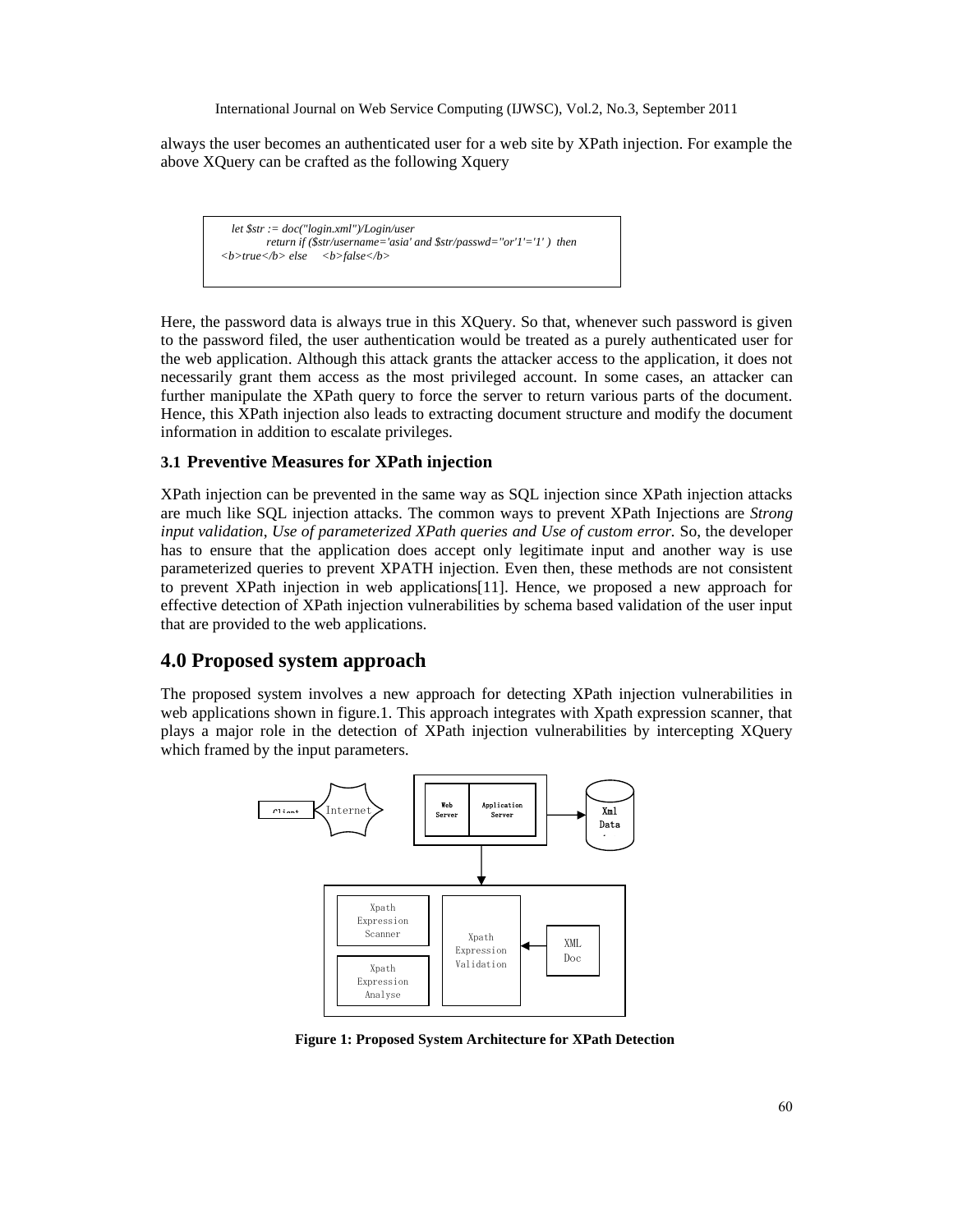always the user becomes an authenticated user for a web site by XPath injection. For example the above XQuery can be crafted as the following Xquery

*let \$str := doc("login.xml")/Login/user return if (\$str/username='asia' and \$str/passwd=''or'1'='1' ) then <b>true</b> else <b>false</b>*

Here, the password data is always true in this XQuery. So that, whenever such password is given to the password filed, the user authentication would be treated as a purely authenticated user for the web application. Although this attack grants the attacker access to the application, it does not necessarily grant them access as the most privileged account. In some cases, an attacker can further manipulate the XPath query to force the server to return various parts of the document. Hence, this XPath injection also leads to extracting document structure and modify the document information in addition to escalate privileges.

#### **3.1 Preventive Measures for XPath injection**

XPath injection can be prevented in the same way as SQL injection since XPath injection attacks are much like SQL injection attacks. The common ways to prevent XPath Injections are *Strong input validation*, *Use of parameterized XPath queries and Use of custom error.* So, the developer has to ensure that the application does accept only legitimate input and another way is use parameterized queries to prevent XPATH injection. Even then, these methods are not consistent to prevent XPath injection in web applications[11]. Hence, we proposed a new approach for effective detection of XPath injection vulnerabilities by schema based validation of the user input that are provided to the web applications.

## **4.0 Proposed system approach**

The proposed system involves a new approach for detecting XPath injection vulnerabilities in web applications shown in figure.1. This approach integrates with Xpath expression scanner, that plays a major role in the detection of XPath injection vulnerabilities by intercepting XQuery which framed by the input parameters.



**Figure 1: Proposed System Architecture for XPath Detection**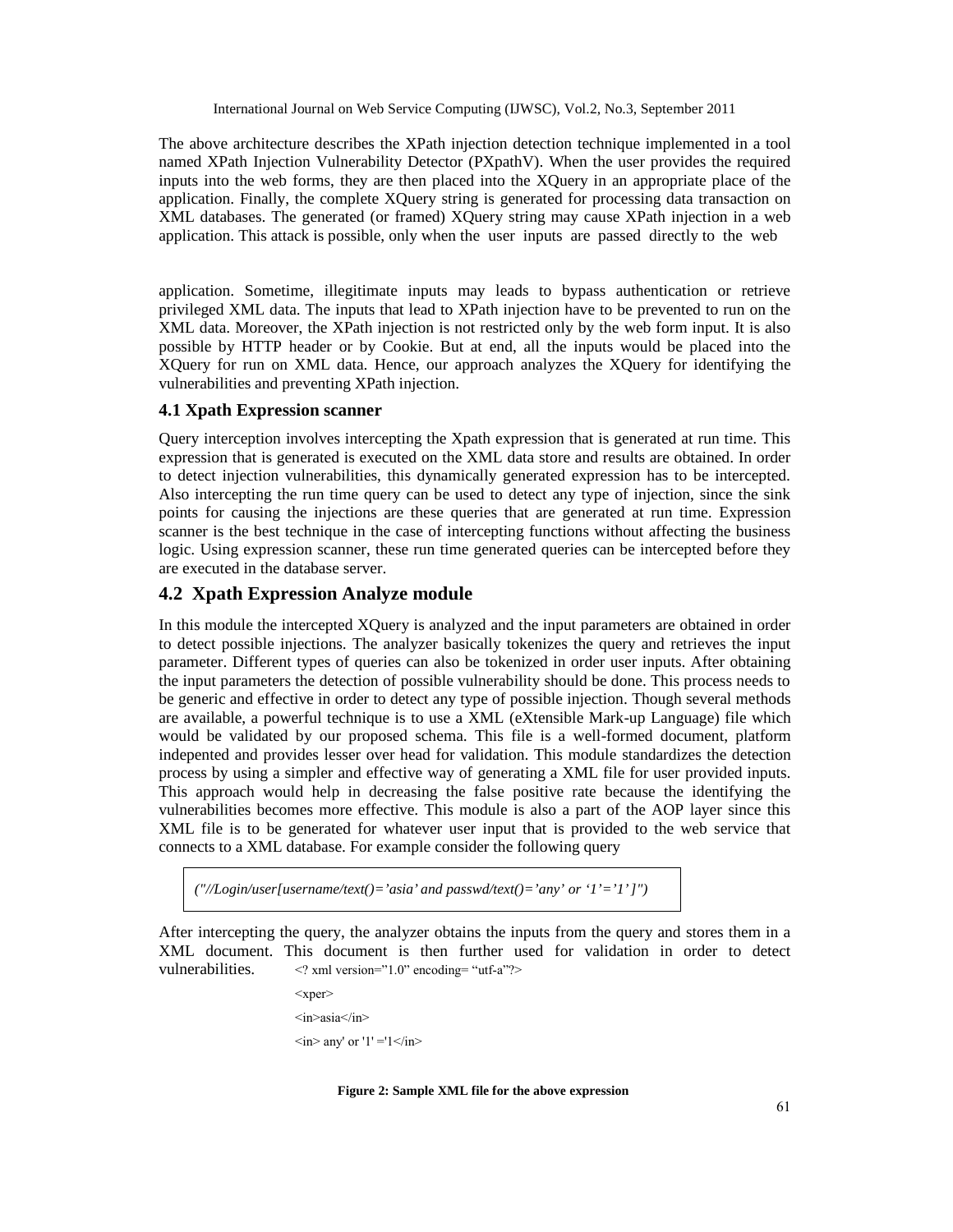The above architecture describes the XPath injection detection technique implemented in a tool named XPath Injection Vulnerability Detector (PXpathV). When the user provides the required inputs into the web forms, they are then placed into the XQuery in an appropriate place of the application. Finally, the complete XQuery string is generated for processing data transaction on XML databases. The generated (or framed) XQuery string may cause XPath injection in a web application. This attack is possible, only when the user inputs are passed directly to the web

application. Sometime, illegitimate inputs may leads to bypass authentication or retrieve privileged XML data. The inputs that lead to XPath injection have to be prevented to run on the XML data. Moreover, the XPath injection is not restricted only by the web form input. It is also possible by HTTP header or by Cookie. But at end, all the inputs would be placed into the XQuery for run on XML data. Hence, our approach analyzes the XQuery for identifying the vulnerabilities and preventing XPath injection.

#### **4.1 Xpath Expression scanner**

Query interception involves intercepting the Xpath expression that is generated at run time. This expression that is generated is executed on the XML data store and results are obtained. In order to detect injection vulnerabilities, this dynamically generated expression has to be intercepted. Also intercepting the run time query can be used to detect any type of injection, since the sink points for causing the injections are these queries that are generated at run time. Expression scanner is the best technique in the case of intercepting functions without affecting the business logic. Using expression scanner, these run time generated queries can be intercepted before they are executed in the database server.

## **4.2 Xpath Expression Analyze module**

In this module the intercepted XQuery is analyzed and the input parameters are obtained in order to detect possible injections. The analyzer basically tokenizes the query and retrieves the input parameter. Different types of queries can also be tokenized in order user inputs. After obtaining the input parameters the detection of possible vulnerability should be done. This process needs to be generic and effective in order to detect any type of possible injection. Though several methods are available, a powerful technique is to use a XML (eXtensible Mark-up Language) file which would be validated by our proposed schema. This file is a well-formed document, platform indepented and provides lesser over head for validation. This module standardizes the detection process by using a simpler and effective way of generating a XML file for user provided inputs. This approach would help in decreasing the false positive rate because the identifying the vulnerabilities becomes more effective. This module is also a part of the AOP layer since this XML file is to be generated for whatever user input that is provided to the web service that connects to a XML database. For example consider the following query

*("//Login/user[username/text()='asia' and passwd/text()='any' or '1'='1' ]")*

After intercepting the query, the analyzer obtains the inputs from the query and stores them in a XML document. This document is then further used for validation in order to detect vulnerabilities. <? xml version="1.0" encoding= "utf-a"?>

> <xper> <in>asia</in>  $\langle$ in $>$  any' or '1' ='1 $\langle$ in $>$

> > **Figure 2: Sample XML file for the above expression**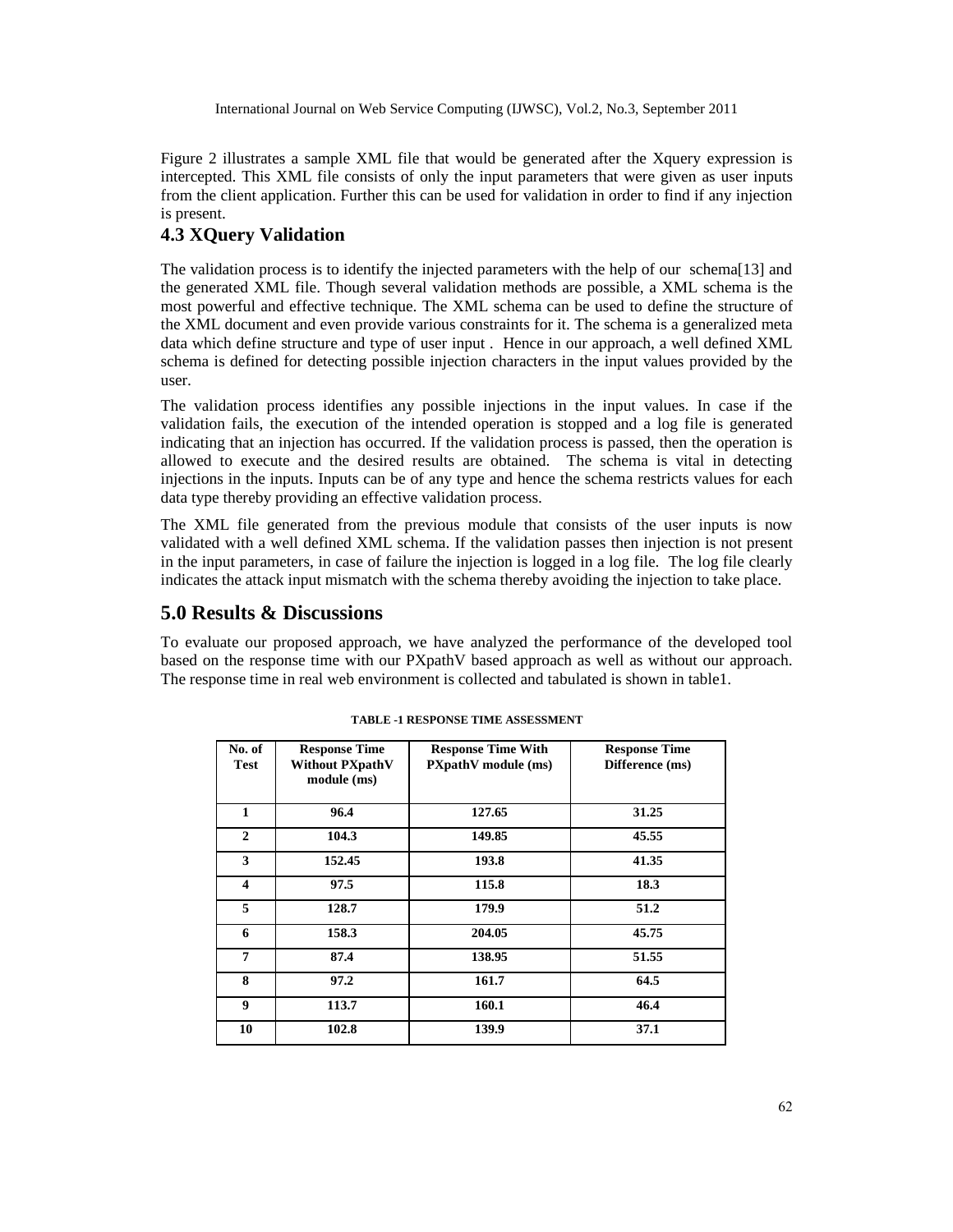Figure 2 illustrates a sample XML file that would be generated after the Xquery expression is intercepted. This XML file consists of only the input parameters that were given as user inputs from the client application. Further this can be used for validation in order to find if any injection is present.

## **4.3 XQuery Validation**

The validation process is to identify the injected parameters with the help of our schema[13] and the generated XML file. Though several validation methods are possible, a XML schema is the most powerful and effective technique. The XML schema can be used to define the structure of the XML document and even provide various constraints for it. The schema is a generalized meta data which define structure and type of user input . Hence in our approach, a well defined XML schema is defined for detecting possible injection characters in the input values provided by the user.

The validation process identifies any possible injections in the input values. In case if the validation fails, the execution of the intended operation is stopped and a log file is generated indicating that an injection has occurred. If the validation process is passed, then the operation is allowed to execute and the desired results are obtained. The schema is vital in detecting injections in the inputs. Inputs can be of any type and hence the schema restricts values for each data type thereby providing an effective validation process.

The XML file generated from the previous module that consists of the user inputs is now validated with a well defined XML schema. If the validation passes then injection is not present in the input parameters, in case of failure the injection is logged in a log file. The log file clearly indicates the attack input mismatch with the schema thereby avoiding the injection to take place.

## **5.0 Results & Discussions**

To evaluate our proposed approach, we have analyzed the performance of the developed tool based on the response time with our PXpathV based approach as well as without our approach. The response time in real web environment is collected and tabulated is shown in table1.

| No. of<br><b>Test</b>   | <b>Response Time</b><br><b>Without PXpathV</b><br>module (ms) | <b>Response Time With</b><br><b>PXpathV</b> module (ms) | <b>Response Time</b><br>Difference (ms) |
|-------------------------|---------------------------------------------------------------|---------------------------------------------------------|-----------------------------------------|
| 1                       | 96.4                                                          | 127.65                                                  | 31.25                                   |
| $\mathbf{2}$            | 104.3                                                         | 149.85                                                  | 45.55                                   |
| 3                       | 152.45                                                        | 193.8                                                   | 41.35                                   |
| $\overline{\mathbf{4}}$ | 97.5                                                          | 115.8                                                   | 18.3                                    |
| 5                       | 128.7                                                         | 179.9                                                   | 51.2                                    |
| 6                       | 158.3                                                         | 204.05                                                  | 45.75                                   |
| 7                       | 87.4                                                          | 138.95                                                  | 51.55                                   |
| 8                       | 97.2                                                          | 161.7                                                   | 64.5                                    |
| 9                       | 113.7                                                         | 160.1                                                   | 46.4                                    |
| 10                      | 102.8                                                         | 139.9                                                   | 37.1                                    |

**TABLE -1 RESPONSE TIME ASSESSMENT**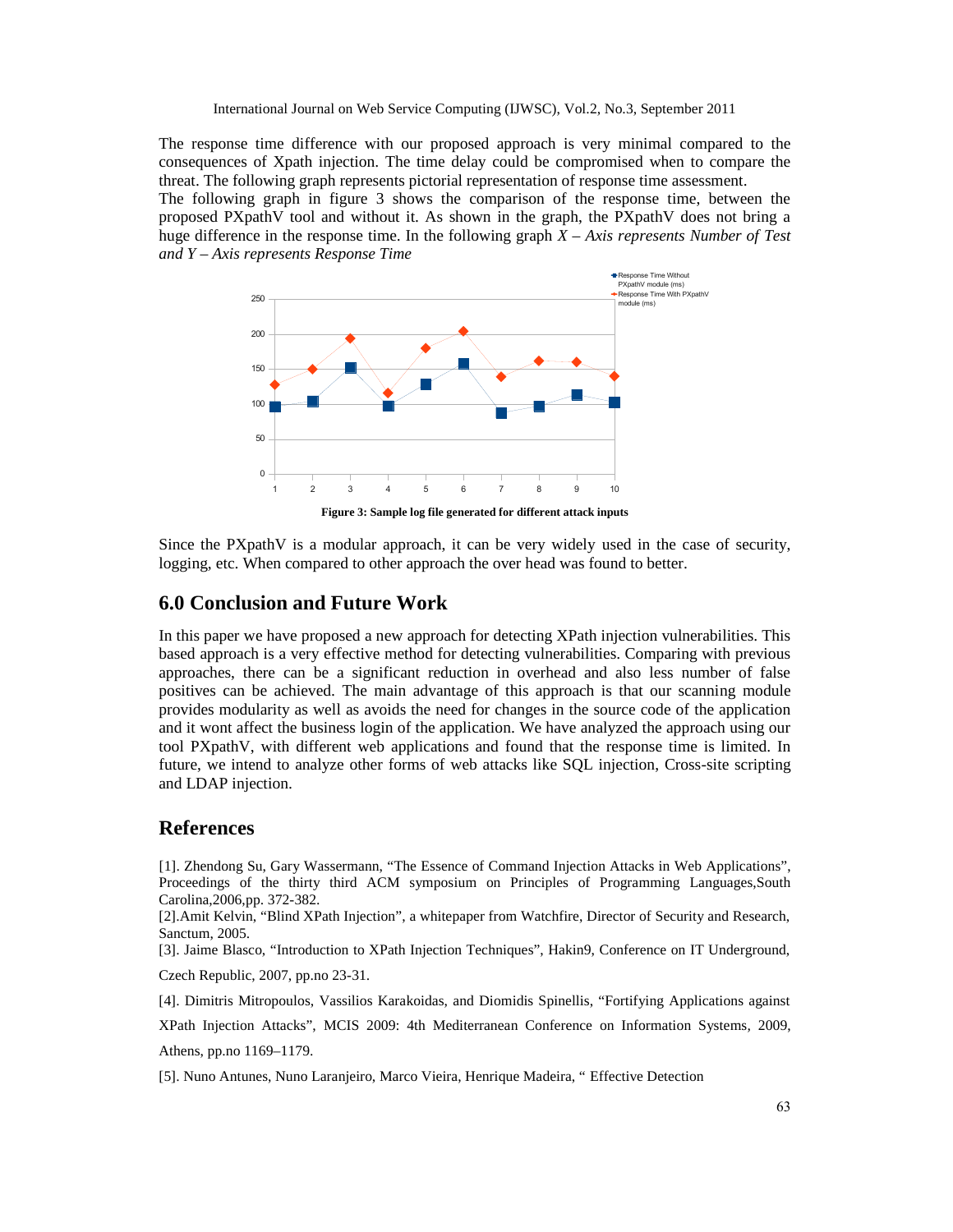The response time difference with our proposed approach is very minimal compared to the consequences of Xpath injection. The time delay could be compromised when to compare the threat. The following graph represents pictorial representation of response time assessment.

The following graph in figure 3 shows the comparison of the response time, between the proposed PXpathV tool and without it. As shown in the graph, the PXpathV does not bring a huge difference in the response time. In the following graph *X – Axis represents Number of Test and Y – Axis represents Response Time*



Since the PXpathV is a modular approach, it can be very widely used in the case of security, logging, etc. When compared to other approach the over head was found to better.

## **6.0 Conclusion and Future Work**

In this paper we have proposed a new approach for detecting XPath injection vulnerabilities. This based approach is a very effective method for detecting vulnerabilities. Comparing with previous approaches, there can be a significant reduction in overhead and also less number of false positives can be achieved. The main advantage of this approach is that our scanning module provides modularity as well as avoids the need for changes in the source code of the application and it wont affect the business login of the application. We have analyzed the approach using our tool PXpathV, with different web applications and found that the response time is limited. In future, we intend to analyze other forms of web attacks like SQL injection, Cross-site scripting and LDAP injection.

## **References**

[1]. Zhendong Su, Gary Wassermann, "The Essence of Command Injection Attacks in Web Applications", Proceedings of the thirty third ACM symposium on Principles of Programming Languages,South Carolina,2006,pp. 372-382.

[2].Amit Kelvin, "Blind XPath Injection", a whitepaper from Watchfire, Director of Security and Research, Sanctum, 2005.

[3]. Jaime Blasco, "Introduction to XPath Injection Techniques", Hakin9, Conference on IT Underground, Czech Republic, 2007, pp.no 23-31.

[4]. Dimitris Mitropoulos, Vassilios Karakoidas, and Diomidis Spinellis, "Fortifying Applications against

XPath Injection Attacks", MCIS 2009: 4th Mediterranean Conference on Information Systems*,* 2009,

Athens, pp.no 1169–1179.

[5]. Nuno Antunes, Nuno Laranjeiro, Marco Vieira, Henrique Madeira, " Effective Detection